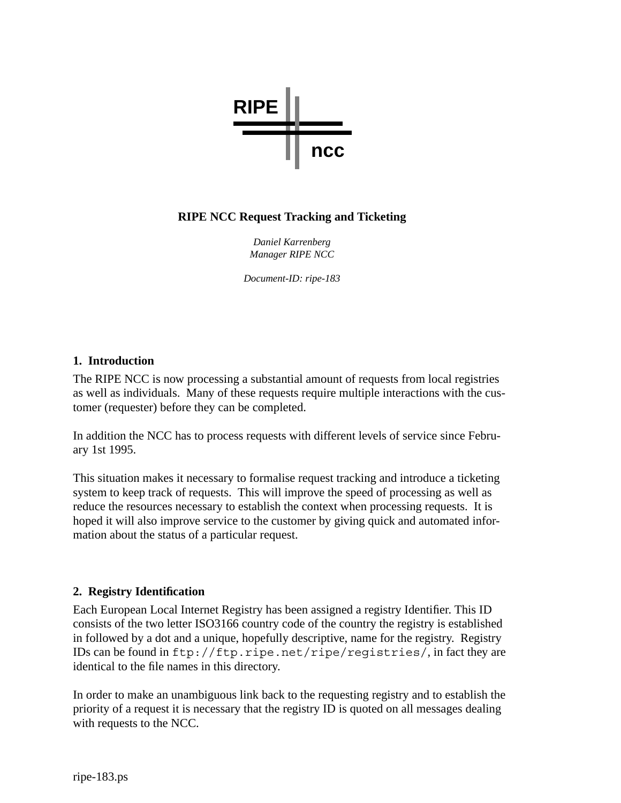

# **RIPE NCC Request Tracking and Ticketing**

*Daniel Karrenberg Manager RIPE NCC*

*Document-ID: ripe-183*

## **1. Introduction**

The RIPE NCC is now processing a substantial amount of requests from local registries as well as individuals. Many of these requests require multiple interactions with the customer (requester) before they can be completed.

In addition the NCC has to process requests with different levels of service since February 1st 1995.

This situation makes it necessary to formalise request tracking and introduce a ticketing system to keep track of requests. This will improve the speed of processing as well as reduce the resources necessary to establish the context when processing requests. It is hoped it will also improve service to the customer by giving quick and automated information about the status of a particular request.

# **2. Registry Identification**

Each European Local Internet Registry has been assigned a registry Identifier. This ID consists of the two letter ISO3166 country code of the country the registry is established in followed by a dot and a unique, hopefully descriptive, name for the registry. Registry IDs can be found in ftp://ftp.ripe.net/ripe/registries/, in fact they are identical to the file names in this directory.

In order to make an unambiguous link back to the requesting registry and to establish the priority of a request it is necessary that the registry ID is quoted on all messages dealing with requests to the NCC.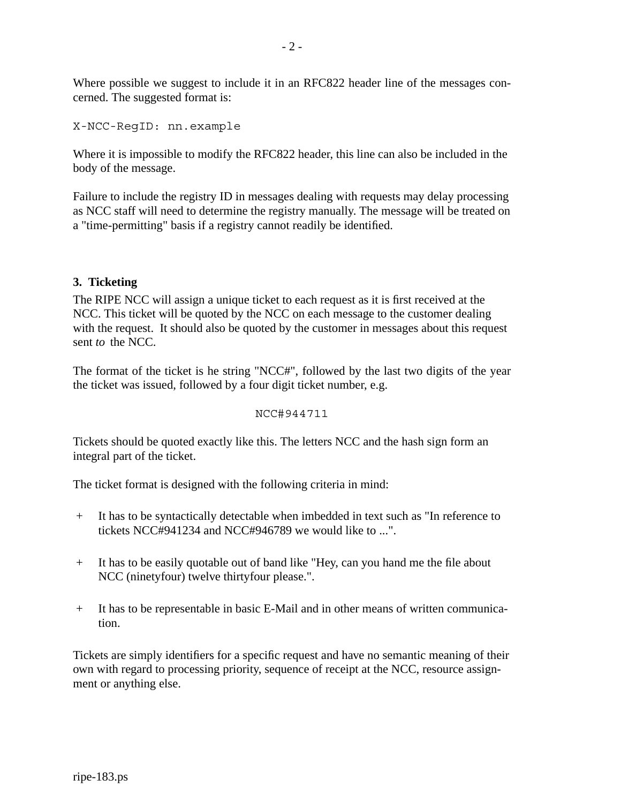Where possible we suggest to include it in an RFC822 header line of the messages concerned. The suggested format is:

```
X-NCC-RegID: nn.example
```
Where it is impossible to modify the RFC822 header, this line can also be included in the body of the message.

Failure to include the registry ID in messages dealing with requests may delay processing as NCC staff will need to determine the registry manually. The message will be treated on a "time-permitting" basis if a registry cannot readily be identified.

# **3. Ticketing**

The RIPE NCC will assign a unique ticket to each request as it is first received at the NCC. This ticket will be quoted by the NCC on each message to the customer dealing with the request. It should also be quoted by the customer in messages about this request sent *to* the NCC.

The format of the ticket is he string "NCC#", followed by the last two digits of the year the ticket was issued, followed by a four digit ticket number, e.g.

```
NCC#944711
```
Tickets should be quoted exactly like this. The letters NCC and the hash sign form an integral part of the ticket.

The ticket format is designed with the following criteria in mind:

- + It has to be syntactically detectable when imbedded in text such as "In reference to tickets NCC#941234 and NCC#946789 we would like to ...".
- + It has to be easily quotable out of band like "Hey, can you hand me the file about NCC (ninetyfour) twelve thirtyfour please.".
- + It has to be representable in basic E-Mail and in other means of written communication.

Tickets are simply identifiers for a specific request and have no semantic meaning of their own with regard to processing priority, sequence of receipt at the NCC, resource assignment or anything else.